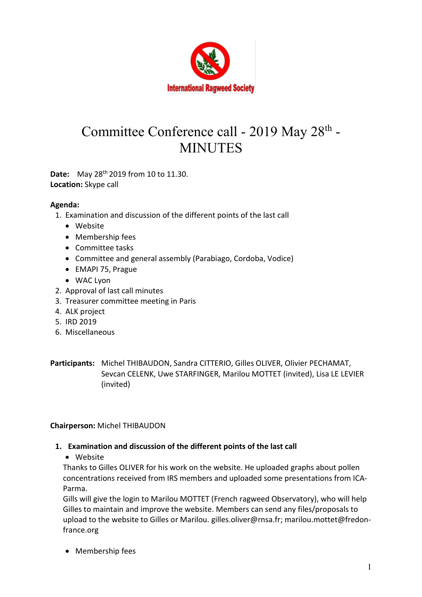

# Committee Conference call - 2019 May 28<sup>th</sup> -**MINUTES**

Date: May 28<sup>th</sup> 2019 from 10 to 11.30. Location: Skype call

## Agenda:

- 1. Examination and discussion of the different points of the last call
	- Website
	- Membership fees
	- Committee tasks
	- Committee and general assembly (Parabiago, Cordoba, Vodice)
	- EMAPI 75, Prague
	- WAC Lyon
- 2. Approval of last call minutes
- 3. Treasurer committee meeting in Paris
- 4. ALK project
- 5. IRD 2019
- 6. Miscellaneous

Participants: Michel THIBAUDON, Sandra CITTERIO, Gilles OLIVER, Olivier PECHAMAT, Sevcan CELENK, Uwe STARFINGER, Marilou MOTTET (invited), Lisa LE LEVIER (invited)

Chairperson: Michel THIBAUDON

### 1. Examination and discussion of the different points of the last call

Website

Thanks to Gilles OLIVER for his work on the website. He uploaded graphs about pollen concentrations received from IRS members and uploaded some presentations from ICA-Parma.

Gills will give the login to Marilou MOTTET (French ragweed Observatory), who will help Gilles to maintain and improve the website. Members can send any files/proposals to upload to the website to Gilles or Marilou. gilles.oliver@rnsa.fr; marilou.mottet@fredonfrance.org

• Membership fees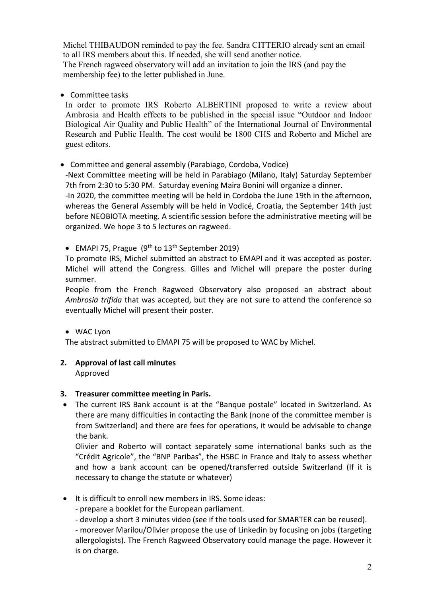Michel THIBAUDON reminded to pay the fee. Sandra CITTERIO already sent an email to all IRS members about this. If needed, she will send another notice. The French ragweed observatory will add an invitation to join the IRS (and pay the membership fee) to the letter published in June.

### • Committee tasks

In order to promote IRS Roberto ALBERTINI proposed to write a review about Ambrosia and Health effects to be published in the special issue "Outdoor and Indoor Biological Air Quality and Public Health" of the International Journal of Environmental Research and Public Health. The cost would be 1800 CHS and Roberto and Michel are guest editors.

Committee and general assembly (Parabiago, Cordoba, Vodice)

-Next Committee meeting will be held in Parabiago (Milano, Italy) Saturday September 7th from 2:30 to 5:30 PM. Saturday evening Maira Bonini will organize a dinner.

-In 2020, the committee meeting will be held in Cordoba the June 19th in the afternoon, whereas the General Assembly will be held in Vodicé, Croatia, the September 14th just before NEOBIOTA meeting. A scientific session before the administrative meeting will be organized. We hope 3 to 5 lectures on ragweed.

• EMAPI 75, Prague  $(9<sup>th</sup>$  to  $13<sup>th</sup>$  September 2019)

To promote IRS, Michel submitted an abstract to EMAPI and it was accepted as poster. Michel will attend the Congress. Gilles and Michel will prepare the poster during summer.

People from the French Ragweed Observatory also proposed an abstract about Ambrosia trifida that was accepted, but they are not sure to attend the conference so eventually Michel will present their poster.

WAC Lyon

The abstract submitted to EMAPI 75 will be proposed to WAC by Michel.

## 2. Approval of last call minutes

Approved

## 3. Treasurer committee meeting in Paris.

 The current IRS Bank account is at the "Banque postale" located in Switzerland. As there are many difficulties in contacting the Bank (none of the committee member is from Switzerland) and there are fees for operations, it would be advisable to change the bank.

Olivier and Roberto will contact separately some international banks such as the "Crédit Agricole", the "BNP Paribas", the HSBC in France and Italy to assess whether and how a bank account can be opened/transferred outside Switzerland (If it is necessary to change the statute or whatever)

It is difficult to enroll new members in IRS. Some ideas:

- prepare a booklet for the European parliament.

- develop a short 3 minutes video (see if the tools used for SMARTER can be reused).

- moreover Marilou/Olivier propose the use of Linkedin by focusing on jobs (targeting allergologists). The French Ragweed Observatory could manage the page. However it is on charge.